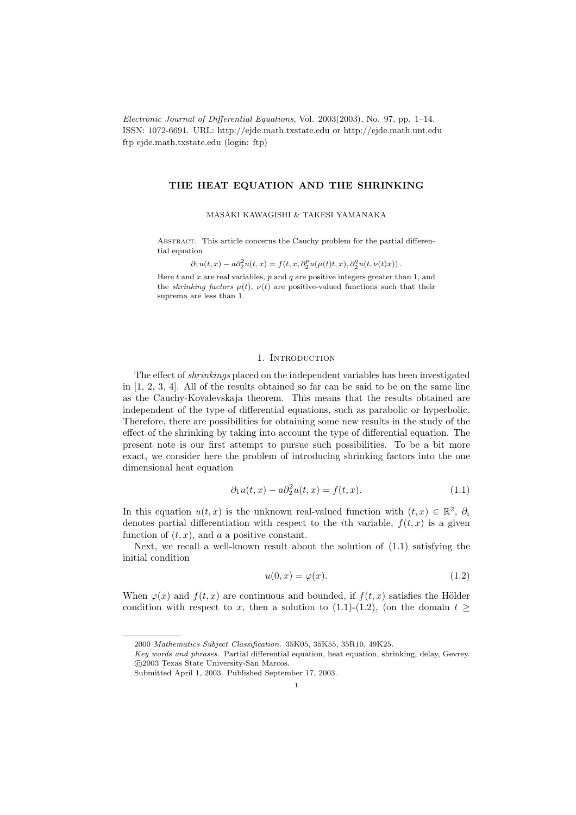Electronic Journal of Differential Equations, Vol. 2003(2003), No. 97, pp. 1–14. ISSN: 1072-6691. URL: http://ejde.math.txstate.edu or http://ejde.math.unt.edu ftp ejde.math.txstate.edu (login: ftp)

# THE HEAT EQUATION AND THE SHRINKING

MASAKI KAWAGISHI & TAKESI YAMANAKA

ABSTRACT. This article concerns the Cauchy problem for the partial differential equation

 $\partial_1 u(t,x) - a \partial_2^2 u(t,x) = f(t,x,\partial_2^p u(\mu(t)t,x),\partial_2^q u(t,\nu(t)x)).$ 

Here  $t$  and  $x$  are real variables,  $p$  and  $q$  are positive integers greater than 1, and the *shrinking factors*  $\mu(t)$ ,  $\nu(t)$  are positive-valued functions such that their suprema are less than 1.

## 1. INTRODUCTION

The effect of shrinkings placed on the independent variables has been investigated in [1, 2, 3, 4]. All of the results obtained so far can be said to be on the same line as the Cauchy-Kovalevskaja theorem. This means that the results obtained are independent of the type of differential equations, such as parabolic or hyperbolic. Therefore, there are possibilities for obtaining some new results in the study of the effect of the shrinking by taking into account the type of differential equation. The present note is our first attempt to pursue such possibilities. To be a bit more exact, we consider here the problem of introducing shrinking factors into the one dimensional heat equation

$$
\partial_1 u(t, x) - a \partial_2^2 u(t, x) = f(t, x). \tag{1.1}
$$

In this equation  $u(t, x)$  is the unknown real-valued function with  $(t, x) \in \mathbb{R}^2$ ,  $\partial_i$ denotes partial differentiation with respect to the *i*th variable,  $f(t, x)$  is a given function of  $(t, x)$ , and a a positive constant.

Next, we recall a well-known result about the solution of (1.1) satisfying the initial condition

$$
u(0,x) = \varphi(x). \tag{1.2}
$$

When  $\varphi(x)$  and  $f(t, x)$  are continuous and bounded, if  $f(t, x)$  satisfies the Hölder condition with respect to x, then a solution to (1.1)-(1.2), (on the domain  $t \geq$ 

<sup>2000</sup> Mathematics Subject Classification. 35K05, 35K55, 35R10, 49K25.

Key words and phrases. Partial differential equation, heat equation, shrinking, delay, Gevrey. c 2003 Texas State University-San Marcos.

Submitted April 1, 2003. Published September 17, 2003.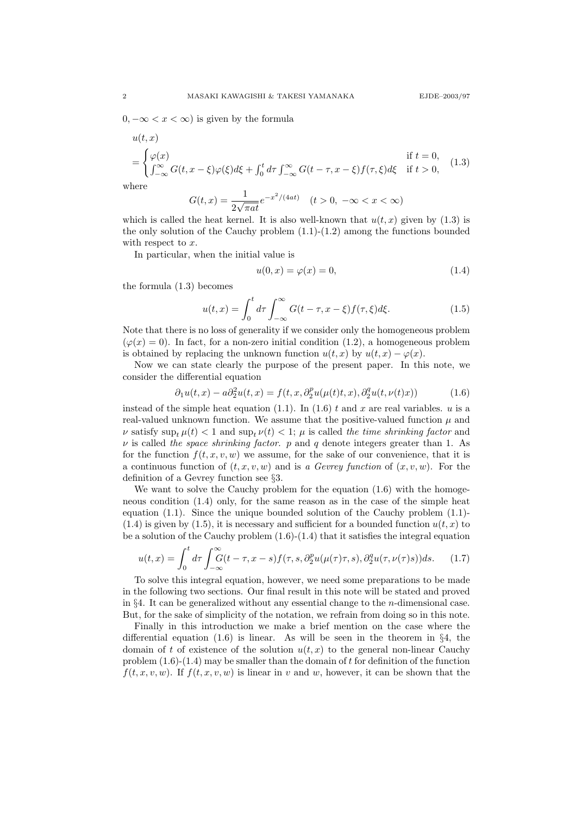$0, -\infty < x < \infty$ ) is given by the formula

$$
u(t,x)
$$
  
= 
$$
\begin{cases} \varphi(x) & \text{if } t = 0, \\ \int_{-\infty}^{\infty} G(t, x - \xi) \varphi(\xi) d\xi + \int_{0}^{t} d\tau \int_{-\infty}^{\infty} G(t - \tau, x - \xi) f(\tau, \xi) d\xi & \text{if } t > 0, \end{cases}
$$
(1.3)

where

 $U(x)$ 

$$
G(t,x) = \frac{1}{2\sqrt{\pi a t}} e^{-x^2/(4at)} \quad (t > 0, \ -\infty < x < \infty)
$$

which is called the heat kernel. It is also well-known that  $u(t, x)$  given by (1.3) is the only solution of the Cauchy problem  $(1.1)-(1.2)$  among the functions bounded with respect to  $x$ .

In particular, when the initial value is

$$
u(0,x) = \varphi(x) = 0,\tag{1.4}
$$

the formula (1.3) becomes

$$
u(t,x) = \int_0^t d\tau \int_{-\infty}^{\infty} G(t-\tau, x-\xi) f(\tau, \xi) d\xi.
$$
 (1.5)

Note that there is no loss of generality if we consider only the homogeneous problem  $(\varphi(x) = 0)$ . In fact, for a non-zero initial condition (1.2), a homogeneous problem is obtained by replacing the unknown function  $u(t, x)$  by  $u(t, x) - \varphi(x)$ .

Now we can state clearly the purpose of the present paper. In this note, we consider the differential equation

$$
\partial_1 u(t,x) - a \partial_2^2 u(t,x) = f(t,x, \partial_2^p u(\mu(t)t,x), \partial_2^q u(t,\nu(t)x)) \tag{1.6}
$$

instead of the simple heat equation (1.1). In (1.6) t and x are real variables. u is a real-valued unknown function. We assume that the positive-valued function  $\mu$  and  $\nu$  satisfy sup<sub>t</sub>  $\mu(t) < 1$  and sup<sub>t</sub>  $\nu(t) < 1$ ;  $\mu$  is called the time shrinking factor and  $\nu$  is called the space shrinking factor. p and q denote integers greater than 1. As for the function  $f(t, x, v, w)$  we assume, for the sake of our convenience, that it is a continuous function of  $(t, x, v, w)$  and is a Gevrey function of  $(x, v, w)$ . For the definition of a Gevrey function see §3.

We want to solve the Cauchy problem for the equation (1.6) with the homogeneous condition (1.4) only, for the same reason as in the case of the simple heat equation (1.1). Since the unique bounded solution of the Cauchy problem (1.1)-  $(1.4)$  is given by  $(1.5)$ , it is necessary and sufficient for a bounded function  $u(t, x)$  to be a solution of the Cauchy problem  $(1.6)-(1.4)$  that it satisfies the integral equation

$$
u(t,x) = \int_0^t d\tau \int_{-\infty}^{\infty} G(t-\tau, x-s) f(\tau, s, \partial_2^p u(\mu(\tau)\tau, s), \partial_2^q u(\tau, \nu(\tau)s)) ds. \tag{1.7}
$$

To solve this integral equation, however, we need some preparations to be made in the following two sections. Our final result in this note will be stated and proved in §4. It can be generalized without any essential change to the *n*-dimensional case. But, for the sake of simplicity of the notation, we refrain from doing so in this note.

Finally in this introduction we make a brief mention on the case where the differential equation  $(1.6)$  is linear. As will be seen in the theorem in §4, the domain of t of existence of the solution  $u(t, x)$  to the general non-linear Cauchy problem  $(1.6)-(1.4)$  may be smaller than the domain of t for definition of the function  $f(t, x, v, w)$ . If  $f(t, x, v, w)$  is linear in v and w, however, it can be shown that the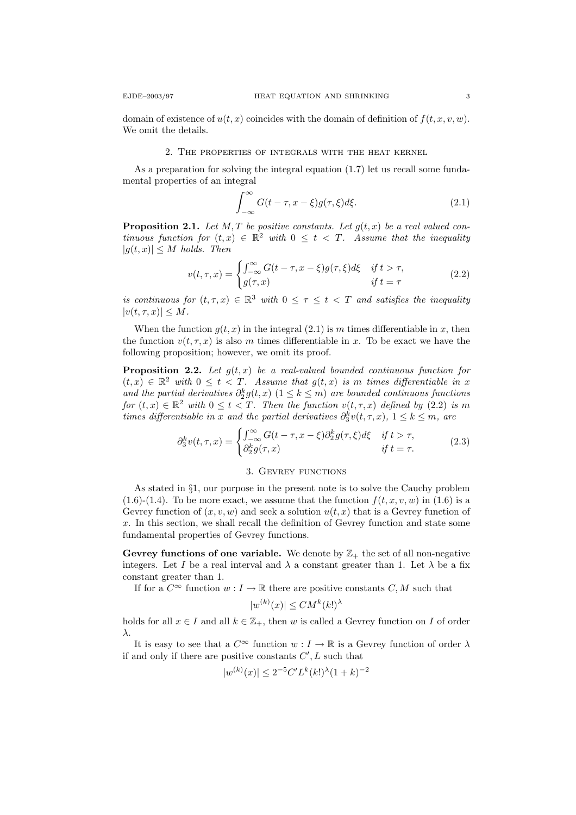domain of existence of  $u(t, x)$  coincides with the domain of definition of  $f(t, x, v, w)$ . We omit the details.

## 2. The properties of integrals with the heat kernel

As a preparation for solving the integral equation (1.7) let us recall some fundamental properties of an integral

$$
\int_{-\infty}^{\infty} G(t - \tau, x - \xi) g(\tau, \xi) d\xi.
$$
 (2.1)

**Proposition 2.1.** Let M, T be positive constants. Let  $g(t, x)$  be a real valued continuous function for  $(t, x) \in \mathbb{R}^2$  with  $0 \leq t < T$ . Assume that the inequality  $|g(t, x)| \leq M$  holds. Then

$$
v(t,\tau,x) = \begin{cases} \int_{-\infty}^{\infty} G(t-\tau,x-\xi)g(\tau,\xi)d\xi & \text{if } t > \tau, \\ g(\tau,x) & \text{if } t = \tau \end{cases}
$$
(2.2)

is continuous for  $(t, \tau, x) \in \mathbb{R}^3$  with  $0 \leq \tau \leq t < T$  and satisfies the inequality  $|v(t, \tau, x)| \leq M$ .

When the function  $g(t, x)$  in the integral  $(2.1)$  is m times differentiable in x, then the function  $v(t, \tau, x)$  is also m times differentiable in x. To be exact we have the following proposition; however, we omit its proof.

**Proposition 2.2.** Let  $g(t, x)$  be a real-valued bounded continuous function for  $(t, x) \in \mathbb{R}^2$  with  $0 \le t < T$ . Assume that  $g(t, x)$  is m times differentiable in x and the partial derivatives  $\partial_2^k g(t,x)$  ( $1 \leq k \leq m$ ) are bounded continuous functions for  $(t, x) \in \mathbb{R}^2$  with  $0 \le t < T$ . Then the function  $v(t, \tau, x)$  defined by  $(2.2)$  is m times differentiable in x and the partial derivatives  $\partial_3^k v(t,\tau,x)$ ,  $1 \leq k \leq m$ , are

$$
\partial_3^k v(t,\tau,x) = \begin{cases}\n\int_{-\infty}^{\infty} G(t-\tau,x-\xi) \partial_2^k g(\tau,\xi) d\xi & \text{if } t > \tau, \\
\partial_2^k g(\tau,x) & \text{if } t = \tau.\n\end{cases}
$$
\n(2.3)

#### 3. GEVREY FUNCTIONS

As stated in §1, our purpose in the present note is to solve the Cauchy problem  $(1.6)-(1.4)$ . To be more exact, we assume that the function  $f(t, x, v, w)$  in  $(1.6)$  is a Gevrey function of  $(x, v, w)$  and seek a solution  $u(t, x)$  that is a Gevrey function of x. In this section, we shall recall the definition of Gevrey function and state some fundamental properties of Gevrey functions.

Gevrey functions of one variable. We denote by  $\mathbb{Z}_+$  the set of all non-negative integers. Let I be a real interval and  $\lambda$  a constant greater than 1. Let  $\lambda$  be a fix constant greater than 1.

If for a  $C^{\infty}$  function  $w: I \to \mathbb{R}$  there are positive constants C, M such that

$$
|w^{(k)}(x)| \le CM^k(k!)^{\lambda}
$$

holds for all  $x \in I$  and all  $k \in \mathbb{Z}_+$ , then w is called a Gevrey function on I of order λ.

It is easy to see that a  $C^{\infty}$  function  $w: I \to \mathbb{R}$  is a Gevrey function of order  $\lambda$ if and only if there are positive constants  $C', L$  such that

$$
|w^{(k)}(x)| \le 2^{-5}C'L^{k}(k!)^{\lambda}(1+k)^{-2}
$$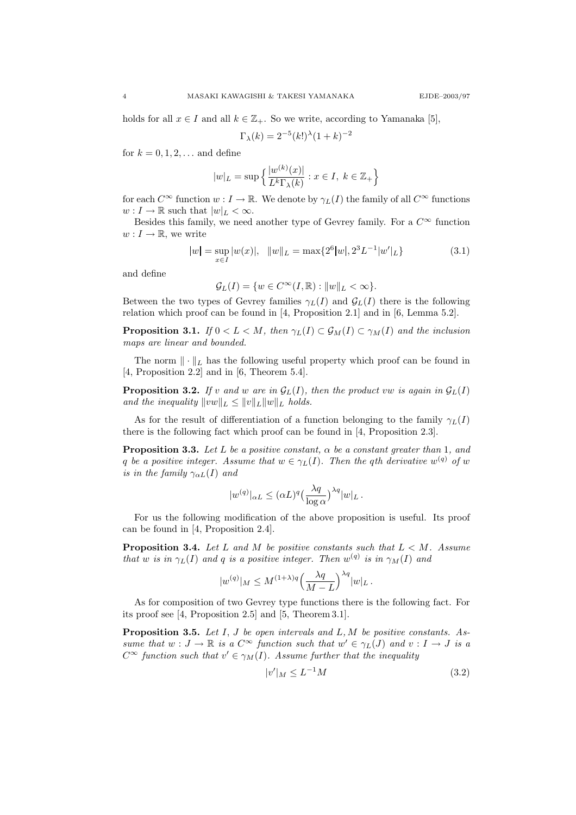holds for all  $x \in I$  and all  $k \in \mathbb{Z}_+$ . So we write, according to Yamanaka [5],

$$
\Gamma_{\lambda}(k) = 2^{-5}(k!)^{\lambda}(1+k)^{-2}
$$

for  $k = 0, 1, 2, \ldots$  and define

$$
|w|_L = \sup \left\{ \frac{|w^{(k)}(x)|}{L^k \Gamma_\lambda(k)} : x \in I, \ k \in \mathbb{Z}_+ \right\}
$$

for each  $C^{\infty}$  function  $w : I \to \mathbb{R}$ . We denote by  $\gamma_L(I)$  the family of all  $C^{\infty}$  functions  $w: I \to \mathbb{R}$  such that  $|w|_L < \infty$ .

Besides this family, we need another type of Gevrey family. For a  $C^{\infty}$  function  $w: I \to \mathbb{R}$ , we write

$$
|w| = \sup_{x \in I} |w(x)|, \quad ||w||_{L} = \max\{2^{6}|w|, 2^{3}L^{-1}|w'|_{L}\}\tag{3.1}
$$

and define

 $\mathcal{G}_L(I) = \{ w \in C^{\infty}(I,\mathbb{R}) : ||w||_L < \infty \}.$ 

Between the two types of Gevrey families  $\gamma_L(I)$  and  $\mathcal{G}_L(I)$  there is the following relation which proof can be found in [4, Proposition 2.1] and in [6, Lemma 5.2].

**Proposition 3.1.** If  $0 < L < M$ , then  $\gamma_L(I) \subset \mathcal{G}_M(I) \subset \gamma_M(I)$  and the inclusion maps are linear and bounded.

The norm  $\|\cdot\|_L$  has the following useful property which proof can be found in [4, Proposition 2.2] and in [6, Theorem 5.4].

**Proposition 3.2.** If v and w are in  $\mathcal{G}_L(I)$ , then the product vw is again in  $\mathcal{G}_L(I)$ and the inequality  $||vw||_L \leq ||v||_L ||w||_L$  holds.

As for the result of differentiation of a function belonging to the family  $\gamma_L(I)$ there is the following fact which proof can be found in [4, Proposition 2.3].

**Proposition 3.3.** Let L be a positive constant,  $\alpha$  be a constant greater than 1, and q be a positive integer. Assume that  $w \in \gamma_L(I)$ . Then the qth derivative  $w^{(q)}$  of w is in the family  $\gamma_{\alpha L}(I)$  and

$$
|w^{(q)}|_{\alpha L} \le (\alpha L)^q \left(\frac{\lambda q}{\log \alpha}\right)^{\lambda q} |w|_L.
$$

For us the following modification of the above proposition is useful. Its proof can be found in [4, Proposition 2.4].

**Proposition 3.4.** Let L and M be positive constants such that  $L < M$ . Assume that w is in  $\gamma_L(I)$  and q is a positive integer. Then  $w^{(q)}$  is in  $\gamma_M(I)$  and

$$
|w^{(q)}|_{M} \le M^{(1+\lambda)q} \left(\frac{\lambda q}{M-L}\right)^{\lambda q} |w|_{L}.
$$

As for composition of two Gevrey type functions there is the following fact. For its proof see [4, Proposition 2.5] and [5, Theorem 3.1].

**Proposition 3.5.** Let  $I, J$  be open intervals and  $L, M$  be positive constants. Assume that  $w: J \to \mathbb{R}$  is a  $C^{\infty}$  function such that  $w' \in \gamma_L(J)$  and  $v: I \to J$  is a  $C^{\infty}$  function such that  $v' \in \gamma_M(I)$ . Assume further that the inequality

$$
|v'|_M \le L^{-1}M\tag{3.2}
$$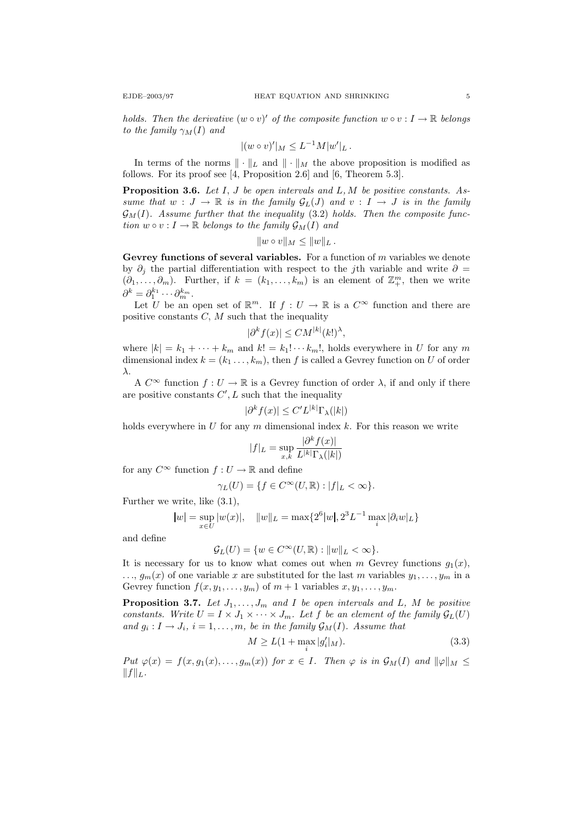holds. Then the derivative  $(w \circ v)'$  of the composite function  $w \circ v : I \to \mathbb{R}$  belongs to the family  $\gamma_M(I)$  and

$$
|(w \circ v)'|_M \leq L^{-1}M|w'|_L.
$$

In terms of the norms  $\|\cdot\|_L$  and  $\|\cdot\|_M$  the above proposition is modified as follows. For its proof see [4, Proposition 2.6] and [6, Theorem 5.3].

**Proposition 3.6.** Let  $I, J$  be open intervals and  $L, M$  be positive constants. Assume that  $w : J \to \mathbb{R}$  is in the family  $\mathcal{G}_L(J)$  and  $v : I \to J$  is in the family  $\mathcal{G}_M(I)$ . Assume further that the inequality (3.2) holds. Then the composite function  $w \circ v : I \to \mathbb{R}$  belongs to the family  $\mathcal{G}_M(I)$  and

$$
||w \circ v||_M \leq ||w||_L.
$$

Gevrey functions of several variables. For a function of  $m$  variables we denote by  $\partial_i$  the partial differentiation with respect to the j<sup>th</sup> variable and write  $\partial$  =  $(\partial_1, \ldots, \partial_m)$ . Further, if  $k = (k_1, \ldots, k_m)$  is an element of  $\mathbb{Z}_{+}^m$ , then we write  $\partial^k = \partial_1^{k_1} \cdots \partial_m^{k_m}.$ 

Let U be an open set of  $\mathbb{R}^m$ . If  $f: U \to \mathbb{R}$  is a  $C^{\infty}$  function and there are positive constants  $C, M$  such that the inequality

$$
|\partial^k f(x)| \leq CM^{|k|}(k!)^{\lambda},
$$

where  $|k| = k_1 + \cdots + k_m$  and  $k! = k_1! \cdots k_m!$ , holds everywhere in U for any m dimensional index  $k = (k_1 \ldots, k_m)$ , then f is called a Gevrey function on U of order λ.

A  $C^{\infty}$  function  $f: U \to \mathbb{R}$  is a Gevrey function of order  $\lambda$ , if and only if there are positive constants  $C', L$  such that the inequality

$$
|\partial^k f(x)| \le C' L^{|k|} \Gamma_\lambda(|k|)
$$

holds everywhere in  $U$  for any  $m$  dimensional index  $k$ . For this reason we write

$$
|f|_L = \sup_{x,k} \frac{|\partial^k f(x)|}{L^{|k|} \Gamma_\lambda(|k|)}
$$

for any  $C^{\infty}$  function  $f: U \to \mathbb{R}$  and define

$$
\gamma_L(U) = \{ f \in C^\infty(U, \mathbb{R}) : |f|_L < \infty \}.
$$

Further we write, like (3.1),

$$
|w| = \sup_{x \in U} |w(x)|
$$
,  $||w||_L = \max\{2^6 |w|, 2^3 L^{-1} \max_i |\partial_i w|_L\}$ 

and define

$$
\mathcal{G}_L(U) = \{ w \in C^{\infty}(U, \mathbb{R}) : ||w||_L < \infty \}.
$$

It is necessary for us to know what comes out when m Gevrey functions  $g_1(x)$ ,  $..., g_m(x)$  of one variable x are substituted for the last m variables  $y_1, ..., y_m$  in a Gevrey function  $f(x, y_1, \ldots, y_m)$  of  $m + 1$  variables  $x, y_1, \ldots, y_m$ .

**Proposition 3.7.** Let  $J_1, \ldots, J_m$  and I be open intervals and L, M be positive constants. Write  $U = I \times J_1 \times \cdots \times J_m$ . Let f be an element of the family  $\mathcal{G}_L(U)$ and  $g_i: I \to J_i$ ,  $i = 1, \ldots, m$ , be in the family  $\mathcal{G}_M(I)$ . Assume that

$$
M \ge L(1 + \max_{i} |g'_i|_M). \tag{3.3}
$$

Put  $\varphi(x) = f(x, g_1(x), \ldots, g_m(x))$  for  $x \in I$ . Then  $\varphi$  is in  $\mathcal{G}_M(I)$  and  $\|\varphi\|_M \leq$  $||f||_L$ .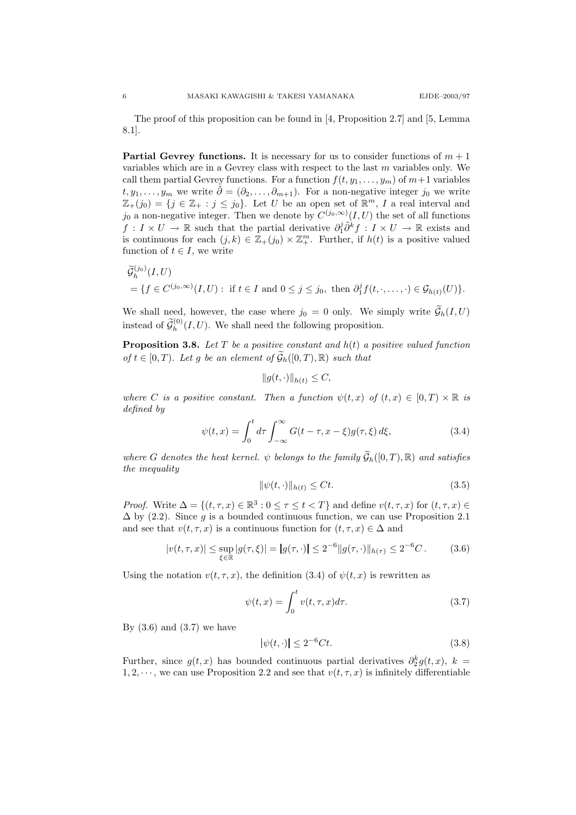The proof of this proposition can be found in [4, Proposition 2.7] and [5, Lemma 8.1].

**Partial Gevrey functions.** It is necessary for us to consider functions of  $m + 1$ variables which are in a Gevrey class with respect to the last  $m$  variables only. We call them partial Gevrey functions. For a function  $f(t, y_1, \ldots, y_m)$  of  $m+1$  variables  $t, y_1, \ldots, y_m$  we write  $\tilde{\partial} = (\partial_2, \ldots, \partial_{m+1})$ . For a non-negative integer  $j_0$  we write  $\mathbb{Z}_{+}(j_0) = \{j \in \mathbb{Z}_{+} : j \leq j_0\}.$  Let U be an open set of  $\mathbb{R}^m$ , I a real interval and  $j_0$  a non-negative integer. Then we denote by  $C^{(j_0,\infty)}(I,U)$  the set of all functions  $f: I \times U \to \mathbb{R}$  such that the partial derivative  $\partial_1^j \tilde{\partial}^k f: I \times U \to \mathbb{R}$  exists and is continuous for each  $(j, k) \in \mathbb{Z}_+(j_0) \times \mathbb{Z}_+^m$ . Further, if  $h(t)$  is a positive valued function of  $t \in I$ , we write

$$
\widetilde{\mathcal{G}}_h^{(j_0)}(I, U) = \{ f \in C^{(j_0, \infty)}(I, U) : \text{ if } t \in I \text{ and } 0 \le j \le j_0, \text{ then } \partial_1^j f(t, \cdot, \dots, \cdot) \in \mathcal{G}_{h(t)}(U) \}.
$$

We shall need, however, the case where  $j_0 = 0$  only. We simply write  $\widetilde{\mathcal{G}}_h(I, U)$ instead of  $\widetilde{\mathcal{G}}_h^{(0)}(I,U)$ . We shall need the following proposition.

**Proposition 3.8.** Let  $T$  be a positive constant and  $h(t)$  a positive valued function of  $t \in [0, T)$ . Let g be an element of  $\widetilde{\mathcal{G}}_h([0, T), \mathbb{R})$  such that

$$
||g(t,\cdot)||_{h(t)} \leq C,
$$

where C is a positive constant. Then a function  $\psi(t,x)$  of  $(t,x) \in [0,T) \times \mathbb{R}$  is defined by

$$
\psi(t,x) = \int_0^t d\tau \int_{-\infty}^{\infty} G(t-\tau, x-\xi)g(\tau, \xi) d\xi,
$$
\n(3.4)

where G denotes the heat kernel.  $\psi$  belongs to the family  $\widetilde{\mathcal{G}}_h([0,T),\mathbb{R})$  and satisfies the inequality

$$
\|\psi(t,\cdot)\|_{h(t)} \le Ct. \tag{3.5}
$$

*Proof.* Write  $\Delta = \{(t, \tau, x) \in \mathbb{R}^3 : 0 \le \tau \le t < T\}$  and define  $v(t, \tau, x)$  for  $(t, \tau, x) \in$  $\Delta$  by (2.2). Since g is a bounded continuous function, we can use Proposition 2.1 and see that  $v(t, \tau, x)$  is a continuous function for  $(t, \tau, x) \in \Delta$  and

$$
|v(t,\tau,x)| \le \sup_{\xi \in \mathbb{R}} |g(\tau,\xi)| = |g(\tau,\cdot)| \le 2^{-6} \|g(\tau,\cdot)\|_{h(\tau)} \le 2^{-6}C. \tag{3.6}
$$

Using the notation  $v(t, \tau, x)$ , the definition (3.4) of  $\psi(t, x)$  is rewritten as

$$
\psi(t,x) = \int_0^t v(t,\tau,x)d\tau.
$$
\n(3.7)

By  $(3.6)$  and  $(3.7)$  we have

$$
|\psi(t,\cdot)| \le 2^{-6}Ct.\tag{3.8}
$$

Further, since  $g(t, x)$  has bounded continuous partial derivatives  $\partial_2^k g(t, x)$ ,  $k =$ 1, 2,  $\cdots$ , we can use Proposition 2.2 and see that  $v(t, \tau, x)$  is infinitely differentiable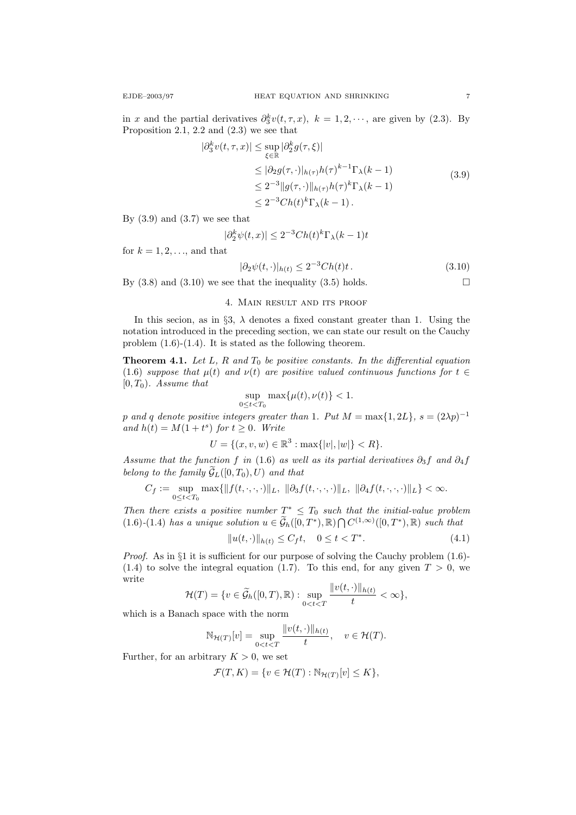in x and the partial derivatives  $\partial_3^k v(t, \tau, x)$ ,  $k = 1, 2, \dots$ , are given by (2.3). By Proposition 2.1, 2.2 and (2.3) we see that

$$
|\partial_3^k v(t,\tau,x)| \le \sup_{\xi \in \mathbb{R}} |\partial_2^k g(\tau,\xi)|
$$
  
\n
$$
\le |\partial_2 g(\tau,\cdot)|_{h(\tau)} h(\tau)^{k-1} \Gamma_\lambda(k-1)
$$
  
\n
$$
\le 2^{-3} \|g(\tau,\cdot)\|_{h(\tau)} h(\tau)^k \Gamma_\lambda(k-1)
$$
  
\n
$$
\le 2^{-3} Ch(t)^k \Gamma_\lambda(k-1).
$$
\n(3.9)

By  $(3.9)$  and  $(3.7)$  we see that

$$
|\partial_2^k \psi(t, x)| \le 2^{-3} Ch(t)^k \Gamma_\lambda(k - 1)t
$$

for  $k = 1, 2, \ldots$ , and that

 $|\partial_2 \psi(t, \cdot)|_{h(t)} \leq 2^{-3} Ch(t)t$  . (3.10)

By  $(3.8)$  and  $(3.10)$  we see that the inequality  $(3.5)$  holds.

# 4. Main result and its proof

In this secion, as in §3,  $\lambda$  denotes a fixed constant greater than 1. Using the notation introduced in the preceding section, we can state our result on the Cauchy problem (1.6)-(1.4). It is stated as the following theorem.

**Theorem 4.1.** Let L, R and  $T_0$  be positive constants. In the differential equation (1.6) suppose that  $\mu(t)$  and  $\nu(t)$  are positive valued continuous functions for  $t \in$  $[0, T_0)$ . Assume that

$$
\sup_{0\leq t
$$

p and q denote positive integers greater than 1. Put  $M = \max\{1, 2L\}$ ,  $s = (2\lambda p)^{-1}$ and  $h(t) = M(1+t^s)$  for  $t \geq 0$ . Write

$$
U = \{(x, v, w) \in \mathbb{R}^3 : \max\{|v|, |w|\} < R\}.
$$

Assume that the function f in (1.6) as well as its partial derivatives  $\partial_3 f$  and  $\partial_4 f$ belong to the family  $\widetilde{\mathcal{G}}_L([0,T_0), U)$  and that

$$
C_f:=\sup_{0\leq t
$$

Then there exists a positive number  $T^* \leq T_0$  such that the initial-value problem  $(1.6)-(1.4)$  has a unique solution  $u \in \widetilde{\mathcal{G}}_h([0,T^*),\mathbb{R}) \cap C^{(1,\infty)}([0,T^*),\mathbb{R})$  such that

$$
||u(t, \cdot)||_{h(t)} \le C_f t, \quad 0 \le t < T^*.
$$
\n(4.1)

*Proof.* As in  $\S1$  it is sufficient for our purpose of solving the Cauchy problem  $(1.6)$ - $(1.4)$  to solve the integral equation (1.7). To this end, for any given  $T > 0$ , we write

$$
\mathcal{H}(T) = \{v \in \widetilde{\mathcal{G}}_h([0,T),\mathbb{R}) : \sup_{0 < t < T} \frac{\|v(t,\cdot)\|_{h(t)}}{t} < \infty\},
$$

which is a Banach space with the norm

$$
\mathbb{N}_{\mathcal{H}(T)}[v] = \sup_{0 < t < T} \frac{\|v(t, \cdot)\|_{h(t)}}{t}, \quad v \in \mathcal{H}(T).
$$

Further, for an arbitrary  $K > 0$ , we set

$$
\mathcal{F}(T,K) = \{ v \in \mathcal{H}(T) : \mathbb{N}_{\mathcal{H}(T)}[v] \le K \},
$$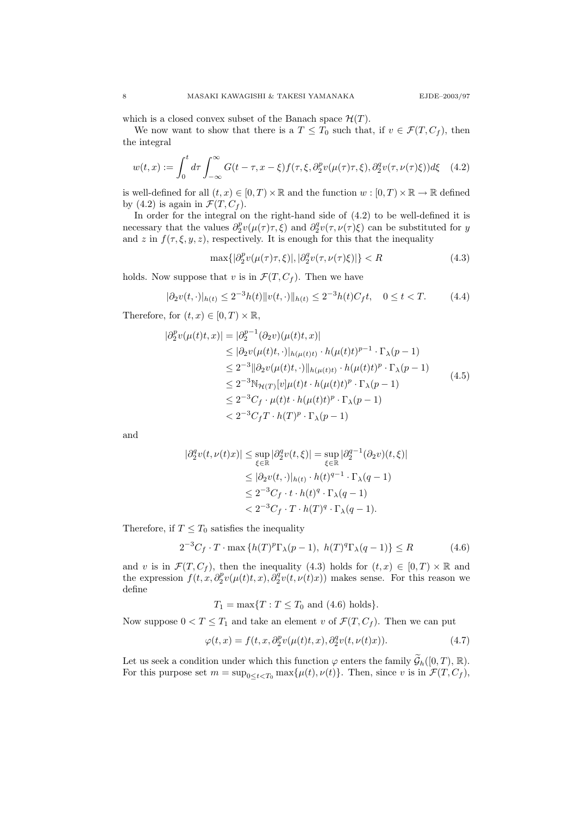which is a closed convex subset of the Banach space  $\mathcal{H}(T)$ .

We now want to show that there is a  $T \leq T_0$  such that, if  $v \in \mathcal{F}(T, C_f)$ , then the integral

$$
w(t,x) := \int_0^t d\tau \int_{-\infty}^{\infty} G(t-\tau, x-\xi) f(\tau, \xi, \partial_2^p v(\mu(\tau)\tau, \xi), \partial_2^q v(\tau, \nu(\tau)\xi)) d\xi \quad (4.2)
$$

is well-defined for all  $(t, x) \in [0, T) \times \mathbb{R}$  and the function  $w : [0, T) \times \mathbb{R} \to \mathbb{R}$  defined by (4.2) is again in  $\mathcal{F}(T, C_f)$ .

In order for the integral on the right-hand side of (4.2) to be well-defined it is necessary that the values  $\partial_2^p v(\mu(\tau)\tau,\xi)$  and  $\partial_2^q v(\tau,\nu(\tau)\xi)$  can be substituted for y and z in  $f(\tau, \xi, y, z)$ , respectively. It is enough for this that the inequality

$$
\max\{|\partial_2^p v(\mu(\tau)\tau,\xi)|,|\partial_2^q v(\tau,\nu(\tau)\xi)|\} < R\tag{4.3}
$$

holds. Now suppose that v is in  $\mathcal{F}(T, C_f)$ . Then we have

$$
|\partial_2 v(t, \cdot)|_{h(t)} \le 2^{-3} h(t) \|v(t, \cdot)\|_{h(t)} \le 2^{-3} h(t) C_f t, \quad 0 \le t < T. \tag{4.4}
$$

Therefore, for  $(t, x) \in [0, T) \times \mathbb{R}$ ,

$$
|\partial_2^p v(\mu(t)t, x)| = |\partial_2^{p-1} (\partial_2 v)(\mu(t)t, x)|
$$
  
\n
$$
\leq |\partial_2 v(\mu(t)t, \cdot)|_{h(\mu(t)t)} \cdot h(\mu(t)t)^{p-1} \cdot \Gamma_{\lambda}(p-1)
$$
  
\n
$$
\leq 2^{-3} ||\partial_2 v(\mu(t)t, \cdot)||_{h(\mu(t)t)} \cdot h(\mu(t)t)^p \cdot \Gamma_{\lambda}(p-1)
$$
  
\n
$$
\leq 2^{-3} \mathbb{N}_{\mathcal{H}(T)}[v] \mu(t)t \cdot h(\mu(t)t)^p \cdot \Gamma_{\lambda}(p-1)
$$
  
\n
$$
\leq 2^{-3} C_f \cdot \mu(t)t \cdot h(\mu(t)t)^p \cdot \Gamma_{\lambda}(p-1)
$$
  
\n
$$
< 2^{-3} C_f T \cdot h(T)^p \cdot \Gamma_{\lambda}(p-1)
$$
 (4.5)

and

$$
\begin{aligned} |\partial_2^q v(t,\nu(t)x)| &\leq \sup_{\xi \in \mathbb{R}} |\partial_2^q v(t,\xi)| = \sup_{\xi \in \mathbb{R}} |\partial_2^{q-1} (\partial_2 v)(t,\xi)| \\ &\leq |\partial_2 v(t,\cdot)|_{h(t)} \cdot h(t)^{q-1} \cdot \Gamma_\lambda(q-1) \\ &\leq 2^{-3} C_f \cdot t \cdot h(t)^q \cdot \Gamma_\lambda(q-1) \\ &< 2^{-3} C_f \cdot T \cdot h(T)^q \cdot \Gamma_\lambda(q-1). \end{aligned}
$$

Therefore, if  $T \leq T_0$  satisfies the inequality

$$
2^{-3}C_f \cdot T \cdot \max\left\{h(T)^p \Gamma_\lambda(p-1), \ h(T)^q \Gamma_\lambda(q-1)\right\} \le R \tag{4.6}
$$

and v is in  $\mathcal{F}(T, C_f)$ , then the inequality (4.3) holds for  $(t, x) \in [0, T) \times \mathbb{R}$  and the expression  $f(t, x, \partial_2^p v(\mu(t), x), \partial_2^q v(t, \nu(t), x))$  makes sense. For this reason we define

$$
T_1 = \max\{T : T \le T_0 \text{ and } (4.6) \text{ holds}\}.
$$

Now suppose  $0 < T \leq T_1$  and take an element v of  $\mathcal{F}(T, C_f)$ . Then we can put

$$
\varphi(t,x) = f(t,x,\partial_2^p v(\mu(t)t,x),\partial_2^q v(t,\nu(t)x)).\tag{4.7}
$$

Let us seek a condition under which this function  $\varphi$  enters the family  $\tilde{\mathcal{G}}_h([0,T), \mathbb{R})$ . For this purpose set  $m = \sup_{0 \le t < T_0} \max{\{\mu(t), \nu(t)\}}$ . Then, since v is in  $\mathcal{F}(T, C_f)$ ,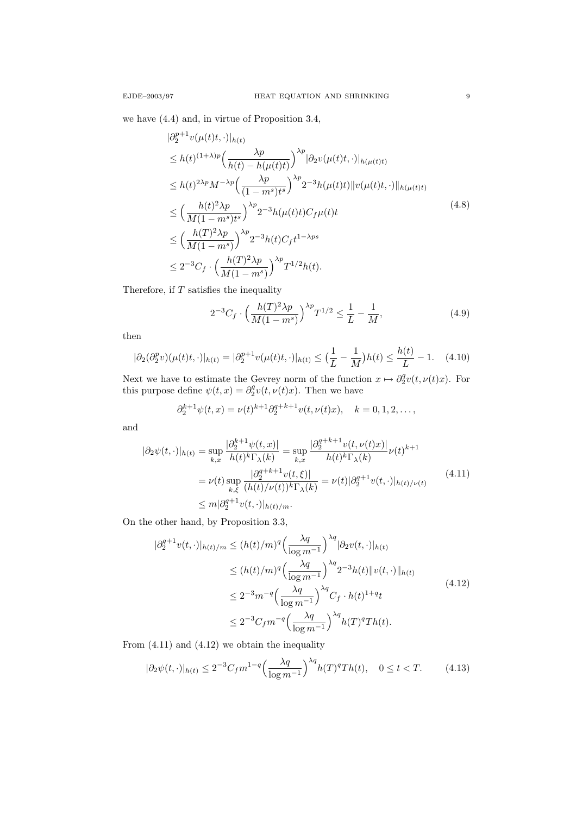we have (4.4) and, in virtue of Proposition 3.4,

$$
\begin{split}\n&|\partial_{2}^{p+1}v(\mu(t)t,\cdot)|_{h(t)} \\
&\leq h(t)^{(1+\lambda)p} \Big(\frac{\lambda p}{h(t)-h(\mu(t)t)}\Big)^{\lambda p} |\partial_{2}v(\mu(t)t,\cdot)|_{h(\mu(t)t)} \\
&\leq h(t)^{2\lambda p} M^{-\lambda p} \Big(\frac{\lambda p}{(1-m^{s})t^{s}}\Big)^{\lambda p} 2^{-3} h(\mu(t)t) \|v(\mu(t)t,\cdot)\|_{h(\mu(t)t)} \\
&\leq \Big(\frac{h(t)^{2}\lambda p}{M(1-m^{s})t^{s}}\Big)^{\lambda p} 2^{-3} h(\mu(t)t) C_{f}\mu(t)t \\
&\leq \Big(\frac{h(T)^{2}\lambda p}{M(1-m^{s})}\Big)^{\lambda p} 2^{-3} h(t) C_{f} t^{1-\lambda ps} \\
&\leq 2^{-3} C_{f} \cdot \Big(\frac{h(T)^{2}\lambda p}{M(1-m^{s})}\Big)^{\lambda p} T^{1/2} h(t).\n\end{split} \tag{4.8}
$$

Therefore, if  $T$  satisfies the inequality

$$
2^{-3}C_f \cdot \left(\frac{h(T)^2 \lambda p}{M(1-m^s)}\right)^{\lambda p} T^{1/2} \le \frac{1}{L} - \frac{1}{M},\tag{4.9}
$$

then

$$
|\partial_2(\partial_2^p v)(\mu(t)t,\cdot)|_{h(t)} = |\partial_2^{p+1} v(\mu(t)t,\cdot)|_{h(t)} \le \left(\frac{1}{L} - \frac{1}{M}\right)h(t) \le \frac{h(t)}{L} - 1. \quad (4.10)
$$

Next we have to estimate the Gevrey norm of the function  $x \mapsto \partial_2^q v(t, \nu(t)x)$ . For this purpose define  $\psi(t, x) = \partial_2^q v(t, \nu(t)x)$ . Then we have

$$
\partial_2^{k+1} \psi(t, x) = \nu(t)^{k+1} \partial_2^{q+k+1} v(t, \nu(t)x), \quad k = 0, 1, 2, \dots,
$$

and

$$
|\partial_2 \psi(t, \cdot)|_{h(t)} = \sup_{k,x} \frac{|\partial_2^{k+1} \psi(t,x)|}{h(t)^k \Gamma_\lambda(k)} = \sup_{k,x} \frac{|\partial_2^{q+k+1} v(t,\nu(t)x)|}{h(t)^k \Gamma_\lambda(k)} \nu(t)^{k+1}
$$
  

$$
= \nu(t) \sup_{k,\xi} \frac{|\partial_2^{q+k+1} v(t,\xi)|}{(h(t)/\nu(t))^k \Gamma_\lambda(k)} = \nu(t) |\partial_2^{q+1} v(t, \cdot)|_{h(t)/\nu(t)}
$$
(4.11)  

$$
\leq m |\partial_2^{q+1} v(t, \cdot)|_{h(t)/m}.
$$

On the other hand, by Proposition 3.3,

$$
|\partial_2^{q+1} v(t, \cdot)|_{h(t)/m} \le (h(t)/m)^q \Big(\frac{\lambda q}{\log m^{-1}}\Big)^{\lambda q} |\partial_2 v(t, \cdot)|_{h(t)}
$$
  
\n
$$
\le (h(t)/m)^q \Big(\frac{\lambda q}{\log m^{-1}}\Big)^{\lambda q} 2^{-3} h(t) \|v(t, \cdot)\|_{h(t)}
$$
  
\n
$$
\le 2^{-3} m^{-q} \Big(\frac{\lambda q}{\log m^{-1}}\Big)^{\lambda q} C_f \cdot h(t)^{1+q} t
$$
  
\n
$$
\le 2^{-3} C_f m^{-q} \Big(\frac{\lambda q}{\log m^{-1}}\Big)^{\lambda q} h(T)^q Th(t).
$$
\n(4.12)

From (4.11) and (4.12) we obtain the inequality

$$
|\partial_2 \psi(t, \cdot)|_{h(t)} \le 2^{-3} C_f m^{1-q} \left(\frac{\lambda q}{\log m^{-1}}\right)^{\lambda q} h(T)^q Th(t), \quad 0 \le t < T. \tag{4.13}
$$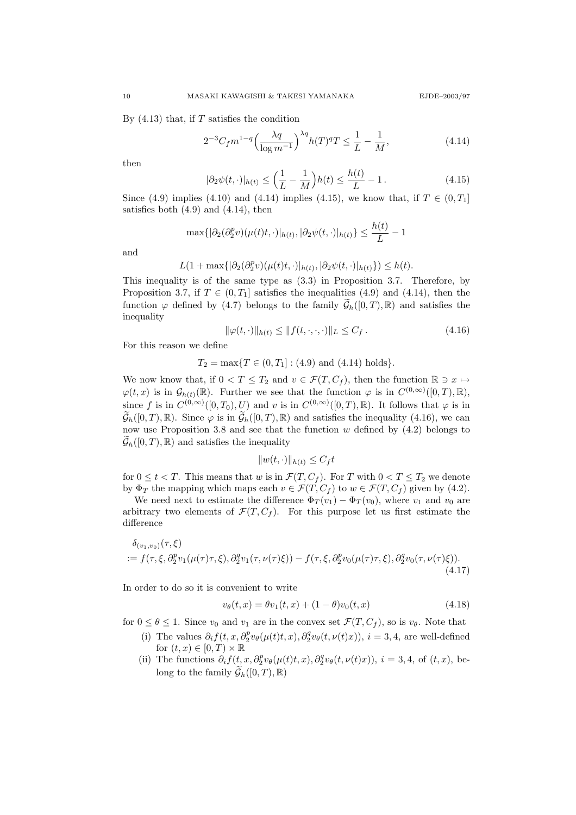By  $(4.13)$  that, if T satisfies the condition

$$
2^{-3}C_f m^{1-q} \left(\frac{\lambda q}{\log m^{-1}}\right)^{\lambda q} h(T)^q T \le \frac{1}{L} - \frac{1}{M},\tag{4.14}
$$

then

$$
|\partial_2 \psi(t, \cdot)|_{h(t)} \le \left(\frac{1}{L} - \frac{1}{M}\right) h(t) \le \frac{h(t)}{L} - 1.
$$
 (4.15)

Since (4.9) implies (4.10) and (4.14) implies (4.15), we know that, if  $T \in (0, T_1]$ satisfies both  $(4.9)$  and  $(4.14)$ , then

$$
\max\{|\partial_2(\partial_2^p v)(\mu(t)t,\cdot)|_{h(t)},|\partial_2\psi(t,\cdot)|_{h(t)}\}\leq \frac{h(t)}{L}-1
$$

and

$$
L(1+\max\{|\partial_2(\partial_2^p v)(\mu(t)t,\cdot)|_{h(t)},|\partial_2\psi(t,\cdot)|_{h(t)}\})\leq h(t).
$$

This inequality is of the same type as (3.3) in Proposition 3.7. Therefore, by Proposition 3.7, if  $T \in (0, T_1]$  satisfies the inequalities (4.9) and (4.14), then the function  $\varphi$  defined by (4.7) belongs to the family  $\tilde{\mathcal{G}}_h([0,T),\mathbb{R})$  and satisfies the inequality

$$
\|\varphi(t,\cdot)\|_{h(t)} \le \|f(t,\cdot,\cdot,\cdot)\|_{L} \le C_f. \tag{4.16}
$$

For this reason we define

$$
T_2 = \max\{T \in (0, T_1] : (4.9) \text{ and } (4.14) \text{ holds}\}.
$$

We now know that, if  $0 < T \leq T_2$  and  $v \in \mathcal{F}(T, C_f)$ , then the function  $\mathbb{R} \ni x \mapsto$  $\varphi(t,x)$  is in  $\mathcal{G}_{h(t)}(\mathbb{R})$ . Further we see that the function  $\varphi$  is in  $C^{(0,\infty)}([0,T),\mathbb{R})$ , since f is in  $C^{(0,\infty)}([0,T_0), U)$  and v is in  $C^{(0,\infty)}([0,T), \mathbb{R})$ . It follows that  $\varphi$  is in  $\widetilde{\mathcal{G}}_h([0,T),\mathbb{R})$ . Since  $\varphi$  is in  $\widetilde{\mathcal{G}}_h([0,T),\mathbb{R})$  and satisfies the inequality (4.16), we can now use Proposition 3.8 and see that the function  $w$  defined by  $(4.2)$  belongs to  $\mathcal{G}_h([0,T),\mathbb{R})$  and satisfies the inequality

$$
||w(t,\cdot)||_{h(t)} \leq C_f t
$$

for  $0 \leq t < T$ . This means that w is in  $\mathcal{F}(T, C_f)$ . For T with  $0 < T \leq T_2$  we denote by  $\Phi_T$  the mapping which maps each  $v \in \mathcal{F}(T, C_f)$  to  $w \in \mathcal{F}(T, C_f)$  given by (4.2).

We need next to estimate the difference  $\Phi_T(v_1) - \Phi_T(v_0)$ , where  $v_1$  and  $v_0$  are arbitrary two elements of  $\mathcal{F}(T, C_f)$ . For this purpose let us first estimate the difference

$$
\delta_{(v_1, v_0)}(\tau, \xi) := f(\tau, \xi, \partial_2^p v_1(\mu(\tau)\tau, \xi), \partial_2^q v_1(\tau, \nu(\tau)\xi)) - f(\tau, \xi, \partial_2^p v_0(\mu(\tau)\tau, \xi), \partial_2^q v_0(\tau, \nu(\tau)\xi)).
$$
\n(4.17)

In order to do so it is convenient to write

$$
v_{\theta}(t,x) = \theta v_1(t,x) + (1 - \theta)v_0(t,x)
$$
\n(4.18)

for  $0 \le \theta \le 1$ . Since  $v_0$  and  $v_1$  are in the convex set  $\mathcal{F}(T, C_f)$ , so is  $v_\theta$ . Note that

- (i) The values  $\partial_i f(t, x, \partial_2^p v_{\theta}(\mu(t)t, x), \partial_2^q v_{\theta}(t, \nu(t)x))$ ,  $i = 3, 4$ , are well-defined for  $(t, x) \in [0, T) \times \mathbb{R}$
- (ii) The functions  $\partial_i f(t, x, \partial_2^p v_{\theta}(\mu(t)t, x), \partial_2^q v_{\theta}(t, \nu(t)x))$ ,  $i = 3, 4$ , of  $(t, x)$ , belong to the family  $\widetilde{\mathcal{G}}_h([0,T),\mathbb{R})$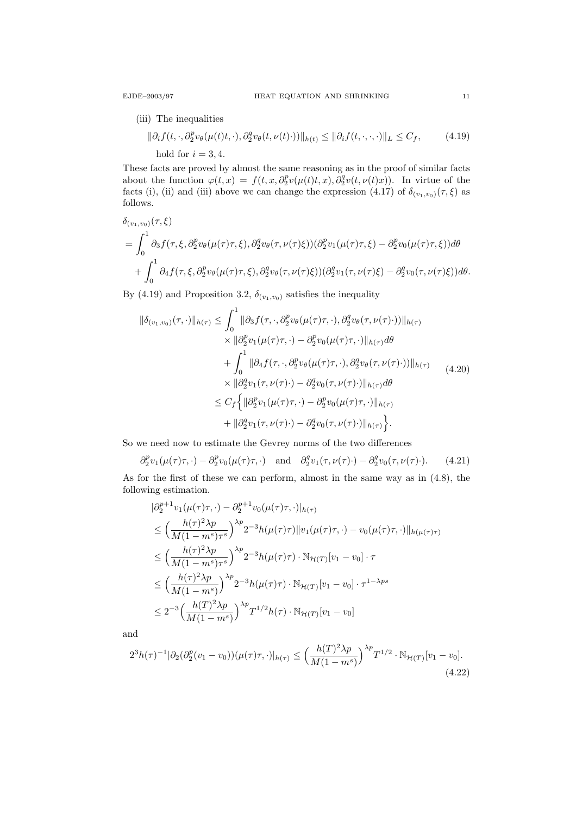(iii) The inequalities

$$
\|\partial_i f(t, \cdot, \partial_2^p v_\theta(\mu(t)t, \cdot), \partial_2^q v_\theta(t, \nu(t) \cdot))\|_{h(t)} \le \|\partial_i f(t, \cdot, \cdot, \cdot)\|_{L} \le C_f,
$$
\n(4.19)

\nhold for  $i = 3, 4$ .

These facts are proved by almost the same reasoning as in the proof of similar facts about the function  $\varphi(t,x) = f(t,x,\partial_2^p v(\mu(t)t,x), \partial_2^q v(t,\nu(t)x))$ . In virtue of the facts (i), (ii) and (iii) above we can change the expression (4.17) of  $\delta_{(v_1,v_0)}(\tau,\xi)$  as follows.

$$
\delta_{(v_1, v_0)}(\tau, \xi)
$$
\n
$$
= \int_0^1 \partial_3 f(\tau, \xi, \partial_2^p v_\theta(\mu(\tau)\tau, \xi), \partial_2^q v_\theta(\tau, \nu(\tau)\xi)) (\partial_2^p v_1(\mu(\tau)\tau, \xi) - \partial_2^p v_0(\mu(\tau)\tau, \xi)) d\theta
$$
\n
$$
+ \int_0^1 \partial_4 f(\tau, \xi, \partial_2^p v_\theta(\mu(\tau)\tau, \xi), \partial_2^q v_\theta(\tau, \nu(\tau)\xi)) (\partial_2^q v_1(\tau, \nu(\tau)\xi) - \partial_2^q v_0(\tau, \nu(\tau)\xi)) d\theta.
$$

By (4.19) and Proposition 3.2,  $\delta_{(v_1,v_0)}$  satisfies the inequality

$$
\|\delta_{(v_1,v_0)}(\tau,\cdot)\|_{h(\tau)} \leq \int_0^1 \|\partial_3 f(\tau,\cdot,\partial_2^p v_\theta(\mu(\tau)\tau,\cdot),\partial_2^q v_\theta(\tau,\nu(\tau)\cdot))\|_{h(\tau)} \times \|\partial_2^p v_1(\mu(\tau)\tau,\cdot) - \partial_2^p v_0(\mu(\tau)\tau,\cdot)\|_{h(\tau)} d\theta + \int_0^1 \|\partial_4 f(\tau,\cdot,\partial_2^p v_\theta(\mu(\tau)\tau,\cdot),\partial_2^q v_\theta(\tau,\nu(\tau)\cdot))\|_{h(\tau)} \times \|\partial_2^q v_1(\tau,\nu(\tau)\cdot) - \partial_2^q v_0(\tau,\nu(\tau)\cdot)\|_{h(\tau)} d\theta \leq C_f \Big\{\|\partial_2^p v_1(\mu(\tau)\tau,\cdot) - \partial_2^p v_0(\mu(\tau)\tau,\cdot)\|_{h(\tau)} + \|\partial_2^q v_1(\tau,\nu(\tau)\cdot) - \partial_2^q v_0(\tau,\nu(\tau)\cdot)\|_{h(\tau)} \Big\}.
$$
\n(4.20)

So we need now to estimate the Gevrey norms of the two differences

$$
\partial_2^p v_1(\mu(\tau)\tau, \cdot) - \partial_2^p v_0(\mu(\tau)\tau, \cdot) \quad \text{and} \quad \partial_2^q v_1(\tau, \nu(\tau) \cdot) - \partial_2^q v_0(\tau, \nu(\tau) \cdot). \tag{4.21}
$$

As for the first of these we can perform, almost in the same way as in (4.8), the following estimation.

$$
\begin{split}\n&|\partial_{2}^{p+1}v_{1}(\mu(\tau)\tau,\cdot)-\partial_{2}^{p+1}v_{0}(\mu(\tau)\tau,\cdot)|_{h(\tau)} \\
&\leq \Big(\frac{h(\tau)^{2}\lambda p}{M(1-m^{s})\tau^{s}}\Big)^{\lambda p}2^{-3}h(\mu(\tau)\tau)||v_{1}(\mu(\tau)\tau,\cdot)-v_{0}(\mu(\tau)\tau,\cdot)||_{h(\mu(\tau)\tau)} \\
&\leq \Big(\frac{h(\tau)^{2}\lambda p}{M(1-m^{s})\tau^{s}}\Big)^{\lambda p}2^{-3}h(\mu(\tau)\tau)\cdot\mathbb{N}_{\mathcal{H}(T)}[v_{1}-v_{0}]\cdot\tau \\
&\leq \Big(\frac{h(\tau)^{2}\lambda p}{M(1-m^{s})}\Big)^{\lambda p}2^{-3}h(\mu(\tau)\tau)\cdot\mathbb{N}_{\mathcal{H}(T)}[v_{1}-v_{0}]\cdot\tau^{1-\lambda ps} \\
&\leq 2^{-3}\Big(\frac{h(T)^{2}\lambda p}{M(1-m^{s})}\Big)^{\lambda p}T^{1/2}h(\tau)\cdot\mathbb{N}_{\mathcal{H}(T)}[v_{1}-v_{0}]\n\end{split}
$$

and

$$
2^{3}h(\tau)^{-1}|\partial_{2}(\partial_{2}^{p}(v_{1}-v_{0}))(\mu(\tau)\tau,\cdot)|_{h(\tau)} \leq \left(\frac{h(T)^{2}\lambda p}{M(1-m^{s})}\right)^{\lambda p}T^{1/2}\cdot \mathbb{N}_{\mathcal{H}(T)}[v_{1}-v_{0}].
$$
\n(4.22)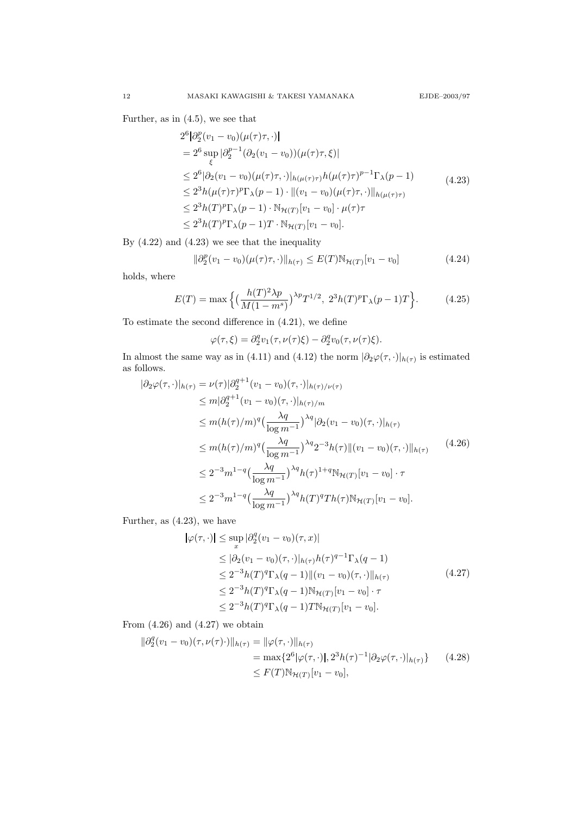Further, as in (4.5), we see that

$$
2^{6} |\partial_{2}^{p}(v_{1} - v_{0})(\mu(\tau)\tau, \cdot)|
$$
\n
$$
= 2^{6} \sup_{\xi} |\partial_{2}^{p-1} (\partial_{2}(v_{1} - v_{0}))(\mu(\tau)\tau, \xi)|
$$
\n
$$
\leq 2^{6} |\partial_{2}(v_{1} - v_{0})(\mu(\tau)\tau, \cdot)|_{h(\mu(\tau)\tau)} h(\mu(\tau)\tau)^{p-1} \Gamma_{\lambda}(p-1)
$$
\n
$$
\leq 2^{3} h(\mu(\tau)\tau)^{p} \Gamma_{\lambda}(p-1) \cdot \|(v_{1} - v_{0})(\mu(\tau)\tau, \cdot)\|_{h(\mu(\tau)\tau)}
$$
\n
$$
\leq 2^{3} h(T)^{p} \Gamma_{\lambda}(p-1) \cdot \mathbb{N}_{\mathcal{H}(T)}[v_{1} - v_{0}] \cdot \mu(\tau)\tau
$$
\n
$$
\leq 2^{3} h(T)^{p} \Gamma_{\lambda}(p-1) T \cdot \mathbb{N}_{\mathcal{H}(T)}[v_{1} - v_{0}].
$$
\n(4.23)

By (4.22) and (4.23) we see that the inequality

$$
\|\partial_2^p(v_1 - v_0)(\mu(\tau)\tau, \cdot)\|_{h(\tau)} \le E(T)\mathbb{N}_{\mathcal{H}(T)}[v_1 - v_0] \tag{4.24}
$$

holds, where

$$
E(T) = \max\left\{ \left( \frac{h(T)^2 \lambda p}{M(1 - m^s)} \right)^{\lambda p} T^{1/2}, \ 2^3 h(T)^p \Gamma_\lambda(p - 1) T \right\}.
$$
 (4.25)

To estimate the second difference in (4.21), we define

$$
\varphi(\tau,\xi) = \partial_2^q v_1(\tau,\nu(\tau)\xi) - \partial_2^q v_0(\tau,\nu(\tau)\xi).
$$

In almost the same way as in (4.11) and (4.12) the norm  $|\partial_2\varphi(\tau,\cdot)|_{h(\tau)}$  is estimated as follows.

$$
\begin{split}\n|\partial_{2}\varphi(\tau,\cdot)|_{h(\tau)} &= \nu(\tau)|\partial_{2}^{q+1}(v_{1}-v_{0})(\tau,\cdot)|_{h(\tau)/\nu(\tau)} \\
&\leq m|\partial_{2}^{q+1}(v_{1}-v_{0})(\tau,\cdot)|_{h(\tau)/m} \\
&\leq m(h(\tau)/m)^{q}\left(\frac{\lambda q}{\log m^{-1}}\right)^{\lambda q}|\partial_{2}(v_{1}-v_{0})(\tau,\cdot)|_{h(\tau)} \\
&\leq m(h(\tau)/m)^{q}\left(\frac{\lambda q}{\log m^{-1}}\right)^{\lambda q}2^{-3}h(\tau)\|(v_{1}-v_{0})(\tau,\cdot)\|_{h(\tau)}\n\end{split} \tag{4.26}
$$
\n
$$
\leq 2^{-3}m^{1-q}\left(\frac{\lambda q}{\log m^{-1}}\right)^{\lambda q}h(\tau)^{1+q}\mathbb{N}_{\mathcal{H}(T)}[v_{1}-v_{0}]\cdot\tau \\
&\leq 2^{-3}m^{1-q}\left(\frac{\lambda q}{\log m^{-1}}\right)^{\lambda q}h(T)^{q}Th(\tau)\mathbb{N}_{\mathcal{H}(T)}[v_{1}-v_{0}].
$$

Further, as (4.23), we have

$$
|\varphi(\tau, \cdot)| \le \sup_{x} |\partial_2^q (v_1 - v_0)(\tau, x)|
$$
  
\n
$$
\le |\partial_2 (v_1 - v_0)(\tau, \cdot)|_{h(\tau)} h(\tau)^{q-1} \Gamma_{\lambda}(q-1)
$$
  
\n
$$
\le 2^{-3} h(T)^q \Gamma_{\lambda}(q-1) ||(v_1 - v_0)(\tau, \cdot)||_{h(\tau)}
$$
  
\n
$$
\le 2^{-3} h(T)^q \Gamma_{\lambda}(q-1) \mathbb{N}_{\mathcal{H}(T)} [v_1 - v_0] \cdot \tau
$$
  
\n
$$
\le 2^{-3} h(T)^q \Gamma_{\lambda}(q-1) T \mathbb{N}_{\mathcal{H}(T)} [v_1 - v_0].
$$
\n(4.27)

From  $(4.26)$  and  $(4.27)$  we obtain

$$
\|\partial_2^q (v_1 - v_0)(\tau, \nu(\tau) \cdot) \|_{h(\tau)} = \|\varphi(\tau, \cdot)\|_{h(\tau)}
$$
  
= max{2<sup>6</sup>|\varphi(\tau, \cdot)|, 2<sup>3</sup>h(\tau)<sup>-1</sup>|\partial\_2\varphi(\tau, \cdot)|\_{h(\tau)} } (4.28)  
\$\leq F(T) \mathbb{N}\_{\mathcal{H}(T)}[v\_1 - v\_0],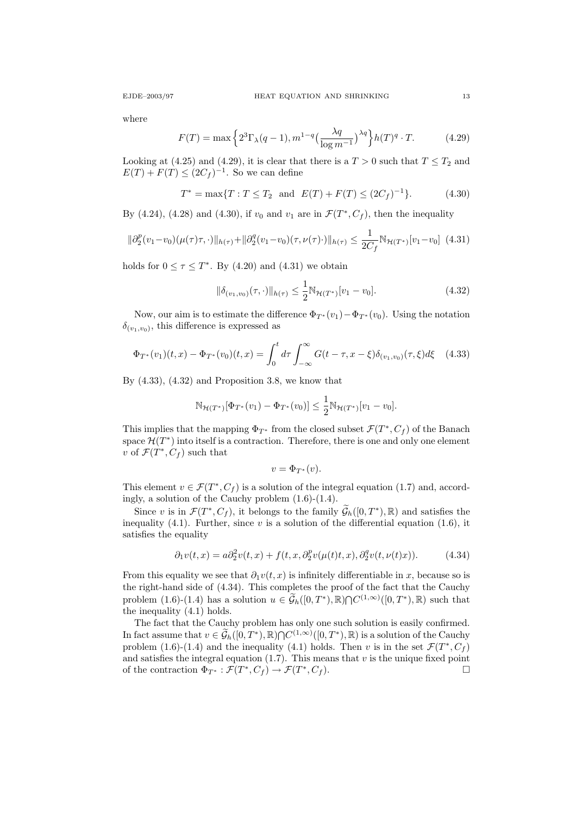where

$$
F(T) = \max\left\{2^3 \Gamma_\lambda(q-1), m^{1-q} \left(\frac{\lambda q}{\log m^{-1}}\right)^{\lambda q}\right\} h(T)^q \cdot T. \tag{4.29}
$$

Looking at (4.25) and (4.29), it is clear that there is a  $T > 0$  such that  $T \leq T_2$  and  $E(T) + F(T) \leq (2C_f)^{-1}$ . So we can define

$$
T^* = \max\{T : T \le T_2 \text{ and } E(T) + F(T) \le (2C_f)^{-1}\}.
$$
 (4.30)

By (4.24), (4.28) and (4.30), if  $v_0$  and  $v_1$  are in  $\mathcal{F}(T^*, C_f)$ , then the inequality

$$
\|\partial_2^p(v_1 - v_0)(\mu(\tau)\tau, \cdot)\|_{h(\tau)} + \|\partial_2^q(v_1 - v_0)(\tau, \nu(\tau))\|_{h(\tau)} \le \frac{1}{2C_f} \mathbb{N}_{\mathcal{H}(T^*)}[v_1 - v_0] \tag{4.31}
$$

holds for  $0 \leq \tau \leq T^*$ . By (4.20) and (4.31) we obtain

$$
\|\delta_{(v_1, v_0)}(\tau, \cdot)\|_{h(\tau)} \le \frac{1}{2} \mathbb{N}_{\mathcal{H}(T^*)}[v_1 - v_0].
$$
\n(4.32)

Now, our aim is to estimate the difference  $\Phi_{T^*}(v_1)-\Phi_{T^*}(v_0)$ . Using the notation  $\delta_{(v_1,v_0)}$ , this difference is expressed as

$$
\Phi_{T^*}(v_1)(t,x) - \Phi_{T^*}(v_0)(t,x) = \int_0^t d\tau \int_{-\infty}^{\infty} G(t-\tau, x-\xi) \delta_{(v_1,v_0)}(\tau, \xi) d\xi \quad (4.33)
$$

By  $(4.33)$ ,  $(4.32)$  and Proposition 3.8, we know that

$$
\mathbb{N}_{\mathcal{H}(T^*)}[\Phi_{T^*}(v_1) - \Phi_{T^*}(v_0)] \leq \frac{1}{2} \mathbb{N}_{\mathcal{H}(T^*)}[v_1 - v_0].
$$

This implies that the mapping  $\Phi_{T^*}$  from the closed subset  $\mathcal{F}(T^*, C_f)$  of the Banach space  $\mathcal{H}(T^*)$  into itself is a contraction. Therefore, there is one and only one element v of  $\mathcal{F}(T^*, C_f)$  such that

$$
v = \Phi_{T^*}(v).
$$

This element  $v \in \mathcal{F}(T^*, C_f)$  is a solution of the integral equation (1.7) and, accordingly, a solution of the Cauchy problem (1.6)-(1.4).

Since v is in  $\mathcal{F}(T^*, C_f)$ , it belongs to the family  $\widetilde{\mathcal{G}}_h([0, T^*), \mathbb{R})$  and satisfies the inequality (4.1). Further, since  $v$  is a solution of the differential equation (1.6), it satisfies the equality

$$
\partial_1 v(t,x) = a \partial_2^2 v(t,x) + f(t,x, \partial_2^p v(\mu(t)t,x), \partial_2^q v(t,\nu(t)x)). \tag{4.34}
$$

From this equality we see that  $\partial_1v(t, x)$  is infinitely differentiable in x, because so is the right-hand side of (4.34). This completes the proof of the fact that the Cauchy problem  $(1.6)-(1.4)$  has a solution  $u \in \widetilde{\mathcal{G}}_h([0,T^*),\mathbb{R})\cap C^{(1,\infty)}([0,T^*),\mathbb{R})$  such that the inequality (4.1) holds.

The fact that the Cauchy problem has only one such solution is easily confirmed. In fact assume that  $v \in \widetilde{\mathcal{G}}_h([0,T^*),\mathbb{R}) \cap C^{(1,\infty)}([0,T^*),\mathbb{R})$  is a solution of the Cauchy problem (1.6)-(1.4) and the inequality (4.1) holds. Then v is in the set  $\mathcal{F}(T^*, C_f)$ and satisfies the integral equation  $(1.7)$ . This means that v is the unique fixed point of the contraction  $\Phi_{T^*}: \mathcal{F}(T^*, C_f) \to \mathcal{F}(T^*, C_f)$ .